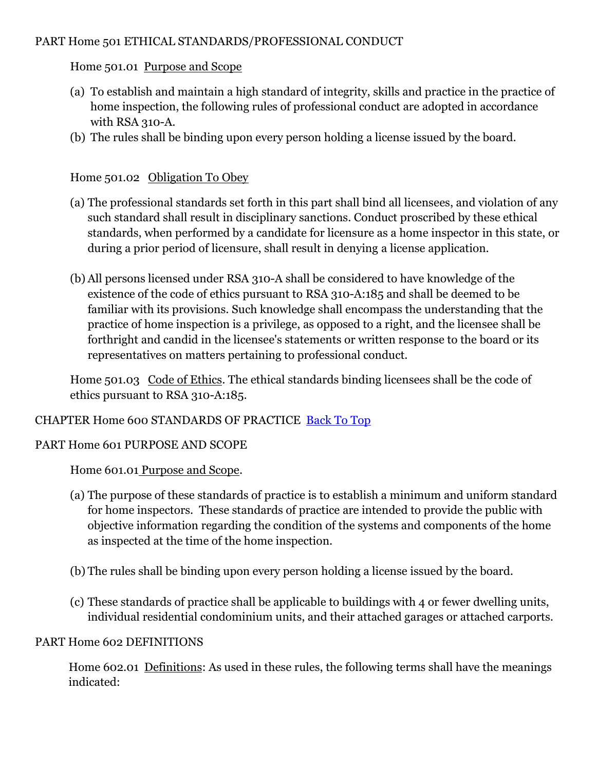#### PART Home 501 ETHICAL STANDARDS/PROFESSIONAL CONDUCT

## Home 501.01 Purpose and Scope

- (a) To establish and maintain a high standard of integrity, skills and practice in the practice of home inspection, the following rules of professional conduct are adopted in accordance with RSA 310-A.
- (b) The rules shall be binding upon every person holding a license issued by the board.

## Home 501.02 Obligation To Obey

- (a) The professional standards set forth in this part shall bind all licensees, and violation of any such standard shall result in disciplinary sanctions. Conduct proscribed by these ethical standards, when performed by a candidate for licensure as a home inspector in this state, or during a prior period of licensure, shall result in denying a license application.
- (b) All persons licensed under RSA 310-A shall be considered to have knowledge of the existence of the code of ethics pursuant to RSA 310-A:185 and shall be deemed to be familiar with its provisions. Such knowledge shall encompass the understanding that the practice of home inspection is a privilege, as opposed to a right, and the licensee shall be forthright and candid in the licensee's statements or written response to the board or its representatives on matters pertaining to professional conduct.

Home 501.03 Code of Ethics. The ethical standards binding licensees shall be the code of ethics pursuant to RSA 310-A:185.

#### CHAPTER Home 600 STANDARDS OF PRACTICE [Back To Top](http://www.nh.gov/jtboard/homerules.htm#shtml#top)

#### PART Home 601 PURPOSE AND SCOPE

Home 601.01 Purpose and Scope.

- (a) The purpose of these standards of practice is to establish a minimum and uniform standard for home inspectors. These standards of practice are intended to provide the public with objective information regarding the condition of the systems and components of the home as inspected at the time of the home inspection.
- (b) The rules shall be binding upon every person holding a license issued by the board.
- (c) These standards of practice shall be applicable to buildings with 4 or fewer dwelling units, individual residential condominium units, and their attached garages or attached carports.

#### PART Home 602 DEFINITIONS

Home 602.01 Definitions: As used in these rules, the following terms shall have the meanings indicated: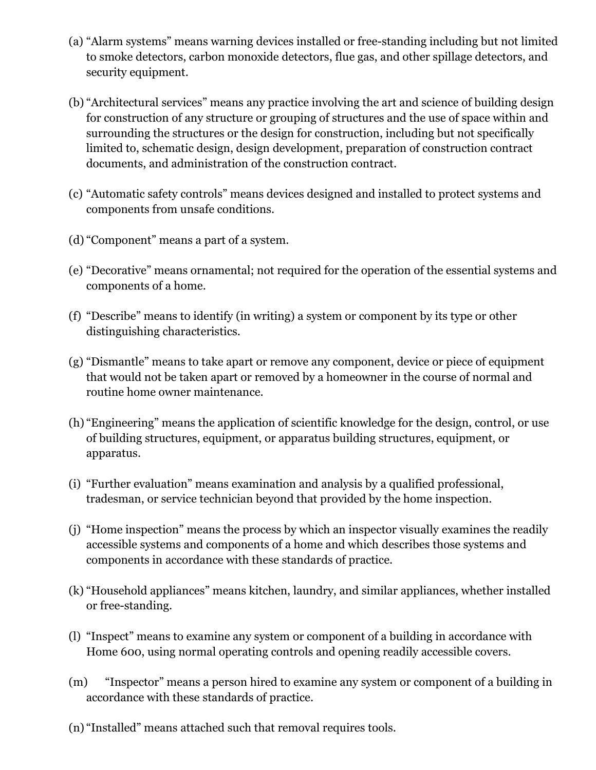- (a) "Alarm systems" means warning devices installed or free-standing including but not limited to smoke detectors, carbon monoxide detectors, flue gas, and other spillage detectors, and security equipment.
- (b) "Architectural services" means any practice involving the art and science of building design for construction of any structure or grouping of structures and the use of space within and surrounding the structures or the design for construction, including but not specifically limited to, schematic design, design development, preparation of construction contract documents, and administration of the construction contract.
- (c) "Automatic safety controls" means devices designed and installed to protect systems and components from unsafe conditions.
- (d) "Component" means a part of a system.
- (e) "Decorative" means ornamental; not required for the operation of the essential systems and components of a home.
- (f) "Describe" means to identify (in writing) a system or component by its type or other distinguishing characteristics.
- (g) "Dismantle" means to take apart or remove any component, device or piece of equipment that would not be taken apart or removed by a homeowner in the course of normal and routine home owner maintenance.
- (h) "Engineering" means the application of scientific knowledge for the design, control, or use of building structures, equipment, or apparatus building structures, equipment, or apparatus.
- (i) "Further evaluation" means examination and analysis by a qualified professional, tradesman, or service technician beyond that provided by the home inspection.
- (j) "Home inspection" means the process by which an inspector visually examines the readily accessible systems and components of a home and which describes those systems and components in accordance with these standards of practice.
- (k) "Household appliances" means kitchen, laundry, and similar appliances, whether installed or free-standing.
- (l) "Inspect" means to examine any system or component of a building in accordance with Home 600, using normal operating controls and opening readily accessible covers.
- (m) "Inspector" means a person hired to examine any system or component of a building in accordance with these standards of practice.
- (n) "Installed" means attached such that removal requires tools.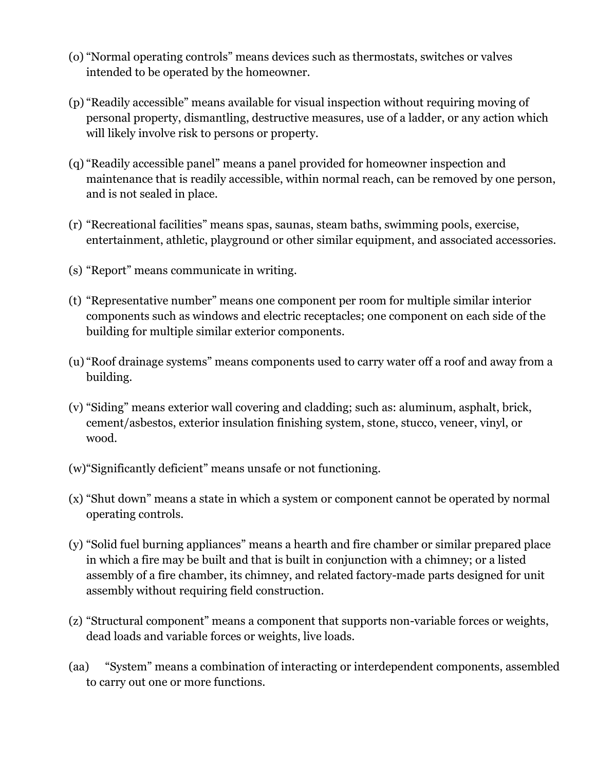- (o) "Normal operating controls" means devices such as thermostats, switches or valves intended to be operated by the homeowner.
- (p) "Readily accessible" means available for visual inspection without requiring moving of personal property, dismantling, destructive measures, use of a ladder, or any action which will likely involve risk to persons or property.
- (q) "Readily accessible panel" means a panel provided for homeowner inspection and maintenance that is readily accessible, within normal reach, can be removed by one person, and is not sealed in place.
- (r) "Recreational facilities" means spas, saunas, steam baths, swimming pools, exercise, entertainment, athletic, playground or other similar equipment, and associated accessories.
- (s) "Report" means communicate in writing.
- (t) "Representative number" means one component per room for multiple similar interior components such as windows and electric receptacles; one component on each side of the building for multiple similar exterior components.
- (u) "Roof drainage systems" means components used to carry water off a roof and away from a building.
- (v) "Siding" means exterior wall covering and cladding; such as: aluminum, asphalt, brick, cement/asbestos, exterior insulation finishing system, stone, stucco, veneer, vinyl, or wood.
- (w)"Significantly deficient" means unsafe or not functioning.
- (x) "Shut down" means a state in which a system or component cannot be operated by normal operating controls.
- (y) "Solid fuel burning appliances" means a hearth and fire chamber or similar prepared place in which a fire may be built and that is built in conjunction with a chimney; or a listed assembly of a fire chamber, its chimney, and related factory-made parts designed for unit assembly without requiring field construction.
- (z) "Structural component" means a component that supports non-variable forces or weights, dead loads and variable forces or weights, live loads.
- (aa) "System" means a combination of interacting or interdependent components, assembled to carry out one or more functions.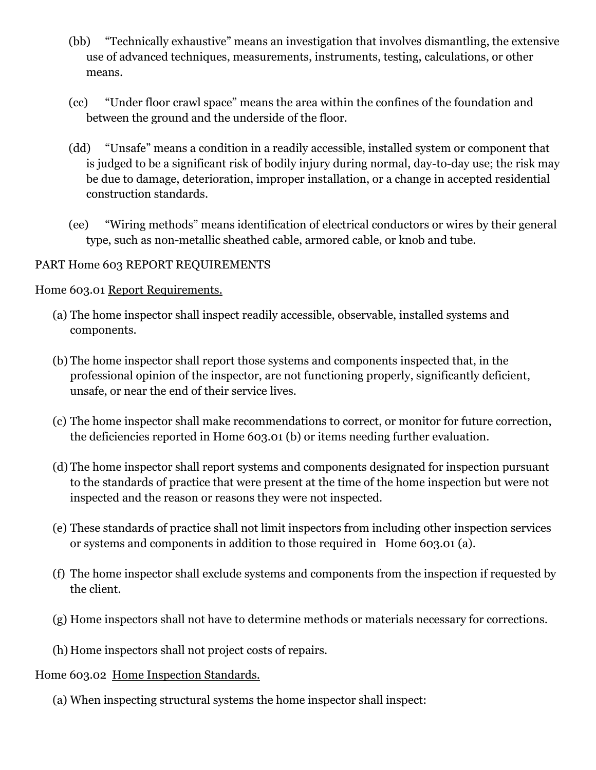- (bb) "Technically exhaustive" means an investigation that involves dismantling, the extensive use of advanced techniques, measurements, instruments, testing, calculations, or other means.
- (cc) "Under floor crawl space" means the area within the confines of the foundation and between the ground and the underside of the floor.
- (dd) "Unsafe" means a condition in a readily accessible, installed system or component that is judged to be a significant risk of bodily injury during normal, day-to-day use; the risk may be due to damage, deterioration, improper installation, or a change in accepted residential construction standards.
- (ee) "Wiring methods" means identification of electrical conductors or wires by their general type, such as non-metallic sheathed cable, armored cable, or knob and tube.

#### PART Home 603 REPORT REQUIREMENTS

Home 603.01 Report Requirements.

- (a) The home inspector shall inspect readily accessible, observable, installed systems and components.
- (b) The home inspector shall report those systems and components inspected that, in the professional opinion of the inspector, are not functioning properly, significantly deficient, unsafe, or near the end of their service lives.
- (c) The home inspector shall make recommendations to correct, or monitor for future correction, the deficiencies reported in Home 603.01 (b) or items needing further evaluation.
- (d) The home inspector shall report systems and components designated for inspection pursuant to the standards of practice that were present at the time of the home inspection but were not inspected and the reason or reasons they were not inspected.
- (e) These standards of practice shall not limit inspectors from including other inspection services or systems and components in addition to those required in Home 603.01 (a).
- (f) The home inspector shall exclude systems and components from the inspection if requested by the client.
- (g) Home inspectors shall not have to determine methods or materials necessary for corrections.
- (h) Home inspectors shall not project costs of repairs.
- Home 603.02 Home Inspection Standards.
	- (a) When inspecting structural systems the home inspector shall inspect: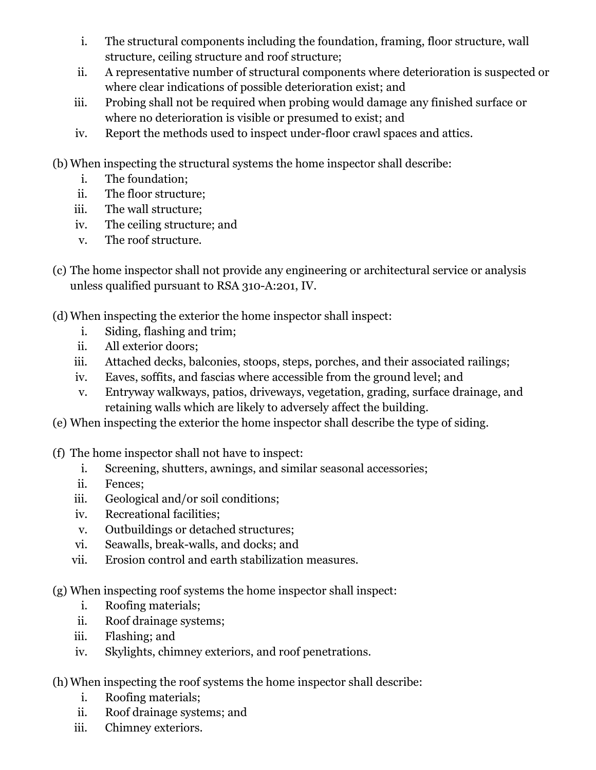- i. The structural components including the foundation, framing, floor structure, wall structure, ceiling structure and roof structure;
- ii. A representative number of structural components where deterioration is suspected or where clear indications of possible deterioration exist; and
- iii. Probing shall not be required when probing would damage any finished surface or where no deterioration is visible or presumed to exist; and
- iv. Report the methods used to inspect under-floor crawl spaces and attics.
- (b) When inspecting the structural systems the home inspector shall describe:
	- i. The foundation;
	- ii. The floor structure;
	- iii. The wall structure;
	- iv. The ceiling structure; and
	- v. The roof structure.
- (c) The home inspector shall not provide any engineering or architectural service or analysis unless qualified pursuant to RSA 310-A:201, IV.
- (d) When inspecting the exterior the home inspector shall inspect:
	- i. Siding, flashing and trim;
	- ii. All exterior doors;
	- iii. Attached decks, balconies, stoops, steps, porches, and their associated railings;
	- iv. Eaves, soffits, and fascias where accessible from the ground level; and
	- v. Entryway walkways, patios, driveways, vegetation, grading, surface drainage, and retaining walls which are likely to adversely affect the building.
- (e) When inspecting the exterior the home inspector shall describe the type of siding.
- (f) The home inspector shall not have to inspect:
	- i. Screening, shutters, awnings, and similar seasonal accessories;
	- ii. Fences;
	- iii. Geological and/or soil conditions;
	- iv. Recreational facilities;
	- v. Outbuildings or detached structures;
	- vi. Seawalls, break-walls, and docks; and
	- vii. Erosion control and earth stabilization measures.
- (g) When inspecting roof systems the home inspector shall inspect:
	- i. Roofing materials;
	- ii. Roof drainage systems;
	- iii. Flashing; and
	- iv. Skylights, chimney exteriors, and roof penetrations.
- (h) When inspecting the roof systems the home inspector shall describe:
	- i. Roofing materials;
	- ii. Roof drainage systems; and
	- iii. Chimney exteriors.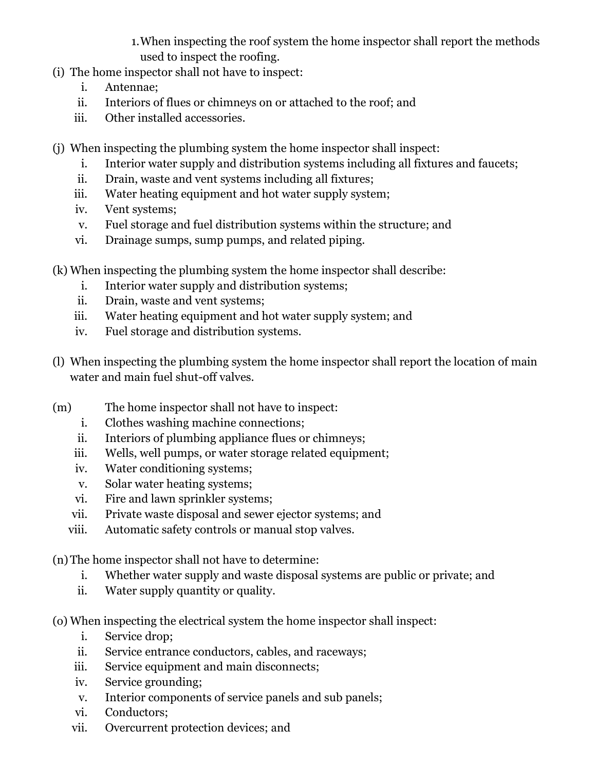1.When inspecting the roof system the home inspector shall report the methods used to inspect the roofing.

- (i) The home inspector shall not have to inspect:
	- i. Antennae;
	- ii. Interiors of flues or chimneys on or attached to the roof; and
	- iii. Other installed accessories.
- (j) When inspecting the plumbing system the home inspector shall inspect:
	- i. Interior water supply and distribution systems including all fixtures and faucets;
	- ii. Drain, waste and vent systems including all fixtures;
	- iii. Water heating equipment and hot water supply system;
	- iv. Vent systems;
	- v. Fuel storage and fuel distribution systems within the structure; and
	- vi. Drainage sumps, sump pumps, and related piping.
- (k) When inspecting the plumbing system the home inspector shall describe:
	- i. Interior water supply and distribution systems;
	- ii. Drain, waste and vent systems;
	- iii. Water heating equipment and hot water supply system; and
	- iv. Fuel storage and distribution systems.
- (l) When inspecting the plumbing system the home inspector shall report the location of main water and main fuel shut-off valves.
- (m) The home inspector shall not have to inspect:
	- i. Clothes washing machine connections;
	- ii. Interiors of plumbing appliance flues or chimneys;
	- iii. Wells, well pumps, or water storage related equipment;
	- iv. Water conditioning systems;
	- v. Solar water heating systems;
	- vi. Fire and lawn sprinkler systems;
	- vii. Private waste disposal and sewer ejector systems; and
	- viii. Automatic safety controls or manual stop valves.
- (n) The home inspector shall not have to determine:
	- i. Whether water supply and waste disposal systems are public or private; and
	- ii. Water supply quantity or quality.
- (o) When inspecting the electrical system the home inspector shall inspect:
	- i. Service drop;
	- ii. Service entrance conductors, cables, and raceways;
	- iii. Service equipment and main disconnects;
	- iv. Service grounding;
	- v. Interior components of service panels and sub panels;
	- vi. Conductors;
	- vii. Overcurrent protection devices; and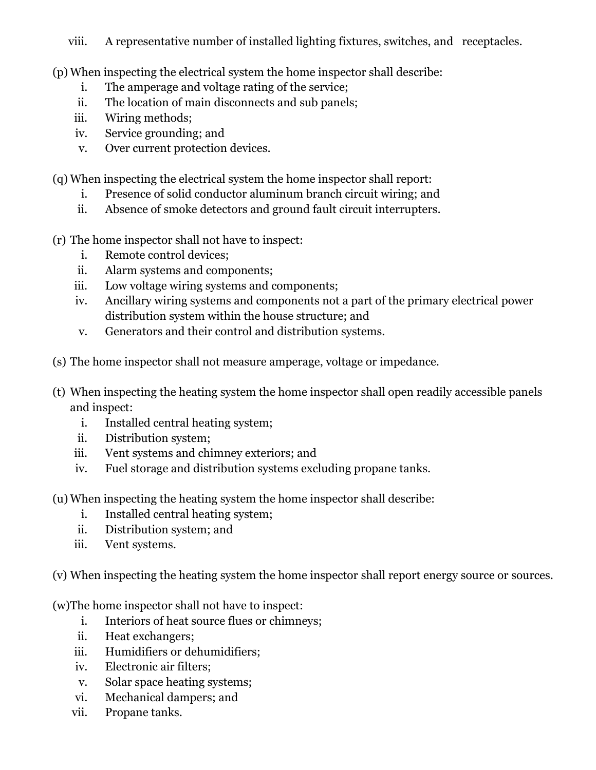# viii. A representative number of installed lighting fixtures, switches, and receptacles.

(p) When inspecting the electrical system the home inspector shall describe:

- i. The amperage and voltage rating of the service;
- ii. The location of main disconnects and sub panels;
- iii. Wiring methods;
- iv. Service grounding; and
- v. Over current protection devices.

(q) When inspecting the electrical system the home inspector shall report:

- i. Presence of solid conductor aluminum branch circuit wiring; and
- ii. Absence of smoke detectors and ground fault circuit interrupters.
- (r) The home inspector shall not have to inspect:
	- i. Remote control devices;
	- ii. Alarm systems and components;
	- iii. Low voltage wiring systems and components;
	- iv. Ancillary wiring systems and components not a part of the primary electrical power distribution system within the house structure; and
	- v. Generators and their control and distribution systems.
- (s) The home inspector shall not measure amperage, voltage or impedance.
- (t) When inspecting the heating system the home inspector shall open readily accessible panels and inspect:
	- i. Installed central heating system;
	- ii. Distribution system;
	- iii. Vent systems and chimney exteriors; and
	- iv. Fuel storage and distribution systems excluding propane tanks.
- (u) When inspecting the heating system the home inspector shall describe:
	- i. Installed central heating system;
	- ii. Distribution system; and
	- iii. Vent systems.

(v) When inspecting the heating system the home inspector shall report energy source or sources.

(w)The home inspector shall not have to inspect:

- i. Interiors of heat source flues or chimneys;
- ii. Heat exchangers;
- iii. Humidifiers or dehumidifiers;
- iv. Electronic air filters;
- v. Solar space heating systems;
- vi. Mechanical dampers; and
- vii. Propane tanks.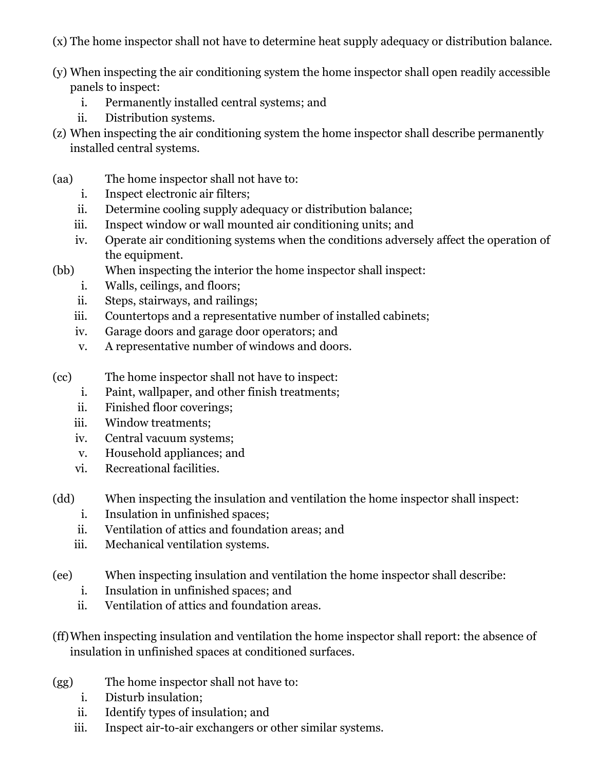(x) The home inspector shall not have to determine heat supply adequacy or distribution balance.

- (y) When inspecting the air conditioning system the home inspector shall open readily accessible panels to inspect:
	- i. Permanently installed central systems; and
	- ii. Distribution systems.
- (z) When inspecting the air conditioning system the home inspector shall describe permanently installed central systems.
- (aa) The home inspector shall not have to:
	- i. Inspect electronic air filters;
	- ii. Determine cooling supply adequacy or distribution balance;
	- iii. Inspect window or wall mounted air conditioning units; and
	- iv. Operate air conditioning systems when the conditions adversely affect the operation of the equipment.
- (bb) When inspecting the interior the home inspector shall inspect:
	- i. Walls, ceilings, and floors;
	- ii. Steps, stairways, and railings;
	- iii. Countertops and a representative number of installed cabinets;
	- iv. Garage doors and garage door operators; and
	- v. A representative number of windows and doors.
- (cc) The home inspector shall not have to inspect:
	- i. Paint, wallpaper, and other finish treatments;
	- ii. Finished floor coverings;
	- iii. Window treatments;
	- iv. Central vacuum systems;
	- v. Household appliances; and
	- vi. Recreational facilities.
- (dd) When inspecting the insulation and ventilation the home inspector shall inspect:
	- i. Insulation in unfinished spaces;
	- ii. Ventilation of attics and foundation areas; and
	- iii. Mechanical ventilation systems.
- (ee) When inspecting insulation and ventilation the home inspector shall describe:
	- i. Insulation in unfinished spaces; and
	- ii. Ventilation of attics and foundation areas.
- (ff)When inspecting insulation and ventilation the home inspector shall report: the absence of insulation in unfinished spaces at conditioned surfaces.
- (gg) The home inspector shall not have to:
	- i. Disturb insulation;
	- ii. Identify types of insulation; and
	- iii. Inspect air-to-air exchangers or other similar systems.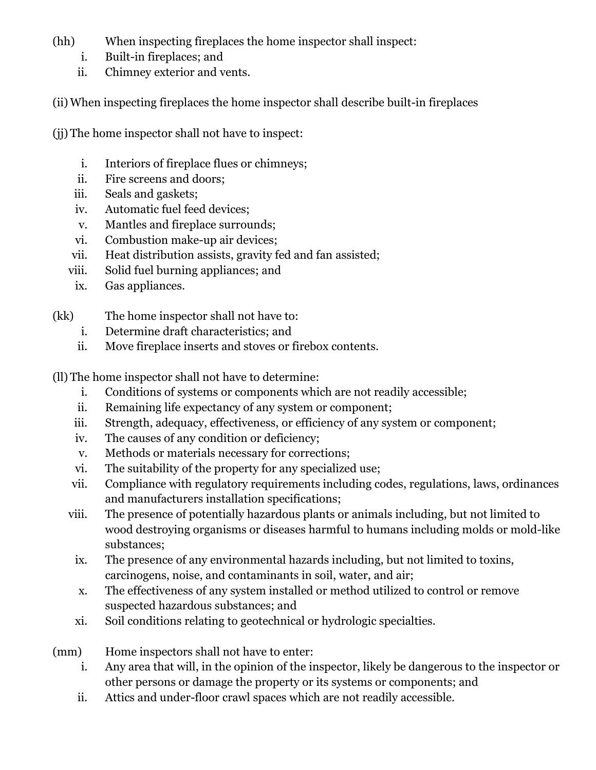(hh) When inspecting fireplaces the home inspector shall inspect:

- i. Built-in fireplaces; and
- ii. Chimney exterior and vents.

(ii) When inspecting fireplaces the home inspector shall describe built-in fireplaces

(jj) The home inspector shall not have to inspect:

- i. Interiors of fireplace flues or chimneys;
- ii. Fire screens and doors;
- iii. Seals and gaskets;
- iv. Automatic fuel feed devices;
- v. Mantles and fireplace surrounds;
- vi. Combustion make-up air devices;
- vii. Heat distribution assists, gravity fed and fan assisted;
- viii. Solid fuel burning appliances; and
- ix. Gas appliances.
- (kk) The home inspector shall not have to:
	- i. Determine draft characteristics; and
	- ii. Move fireplace inserts and stoves or firebox contents.

(ll) The home inspector shall not have to determine:

- i. Conditions of systems or components which are not readily accessible;
- ii. Remaining life expectancy of any system or component;
- iii. Strength, adequacy, effectiveness, or efficiency of any system or component;
- iv. The causes of any condition or deficiency;
- v. Methods or materials necessary for corrections;
- vi. The suitability of the property for any specialized use;
- vii. Compliance with regulatory requirements including codes, regulations, laws, ordinances and manufacturers installation specifications;
- viii. The presence of potentially hazardous plants or animals including, but not limited to wood destroying organisms or diseases harmful to humans including molds or mold-like substances;
	- ix. The presence of any environmental hazards including, but not limited to toxins, carcinogens, noise, and contaminants in soil, water, and air;
	- x. The effectiveness of any system installed or method utilized to control or remove suspected hazardous substances; and
	- xi. Soil conditions relating to geotechnical or hydrologic specialties.

(mm) Home inspectors shall not have to enter:

- i. Any area that will, in the opinion of the inspector, likely be dangerous to the inspector or other persons or damage the property or its systems or components; and
- ii. Attics and under-floor crawl spaces which are not readily accessible.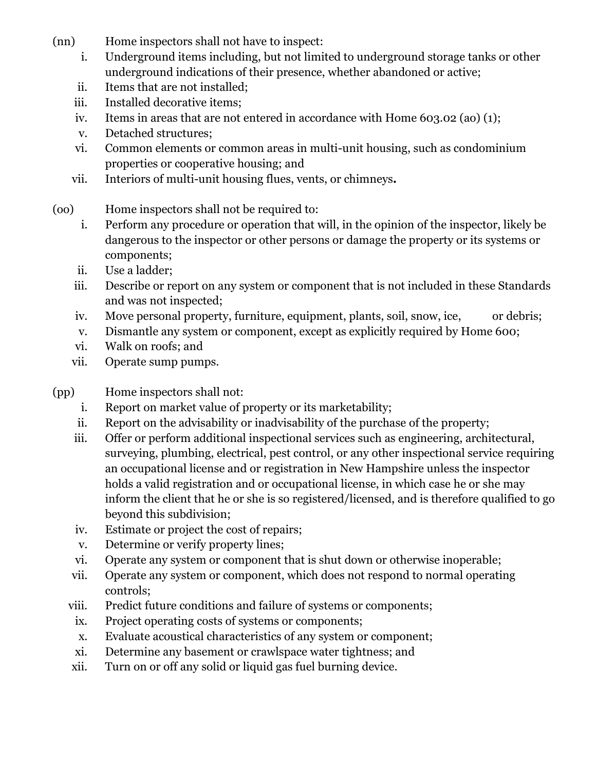- (nn) Home inspectors shall not have to inspect:
	- i. Underground items including, but not limited to underground storage tanks or other underground indications of their presence, whether abandoned or active;
	- ii. Items that are not installed;
	- iii. Installed decorative items;
	- iv. Items in areas that are not entered in accordance with Home 603.02 (ao) (1);
	- v. Detached structures;
	- vi. Common elements or common areas in multi-unit housing, such as condominium properties or cooperative housing; and
	- vii. Interiors of multi-unit housing flues, vents, or chimneys*.*
- (oo) Home inspectors shall not be required to:
	- i. Perform any procedure or operation that will, in the opinion of the inspector, likely be dangerous to the inspector or other persons or damage the property or its systems or components;
	- ii. Use a ladder;
	- iii. Describe or report on any system or component that is not included in these Standards and was not inspected;
	- iv. Move personal property, furniture, equipment, plants, soil, snow, ice, or debris;
	- v. Dismantle any system or component, except as explicitly required by Home 600;
	- vi. Walk on roofs; and
	- vii. Operate sump pumps.
- (pp) Home inspectors shall not:
	- i. Report on market value of property or its marketability;
	- ii. Report on the advisability or inadvisability of the purchase of the property;
	- iii. Offer or perform additional inspectional services such as engineering, architectural, surveying, plumbing, electrical, pest control, or any other inspectional service requiring an occupational license and or registration in New Hampshire unless the inspector holds a valid registration and or occupational license, in which case he or she may inform the client that he or she is so registered/licensed, and is therefore qualified to go beyond this subdivision;
	- iv. Estimate or project the cost of repairs;
	- v. Determine or verify property lines;
	- vi. Operate any system or component that is shut down or otherwise inoperable;
	- vii. Operate any system or component, which does not respond to normal operating controls;
	- viii. Predict future conditions and failure of systems or components;
	- ix. Project operating costs of systems or components;
	- x. Evaluate acoustical characteristics of any system or component;
	- xi. Determine any basement or crawlspace water tightness; and
	- xii. Turn on or off any solid or liquid gas fuel burning device.